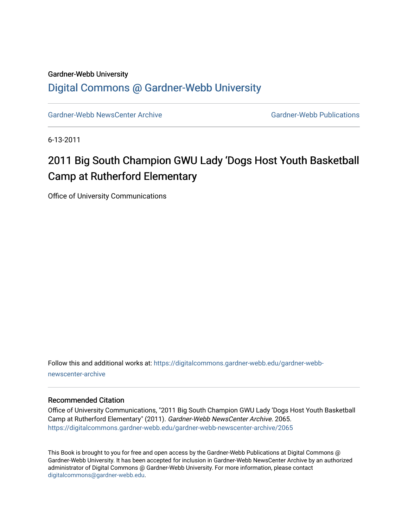## Gardner-Webb University [Digital Commons @ Gardner-Webb University](https://digitalcommons.gardner-webb.edu/)

[Gardner-Webb NewsCenter Archive](https://digitalcommons.gardner-webb.edu/gardner-webb-newscenter-archive) Gardner-Webb Publications

6-13-2011

## 2011 Big South Champion GWU Lady 'Dogs Host Youth Basketball Camp at Rutherford Elementary

Office of University Communications

Follow this and additional works at: [https://digitalcommons.gardner-webb.edu/gardner-webb](https://digitalcommons.gardner-webb.edu/gardner-webb-newscenter-archive?utm_source=digitalcommons.gardner-webb.edu%2Fgardner-webb-newscenter-archive%2F2065&utm_medium=PDF&utm_campaign=PDFCoverPages)[newscenter-archive](https://digitalcommons.gardner-webb.edu/gardner-webb-newscenter-archive?utm_source=digitalcommons.gardner-webb.edu%2Fgardner-webb-newscenter-archive%2F2065&utm_medium=PDF&utm_campaign=PDFCoverPages)

## Recommended Citation

Office of University Communications, "2011 Big South Champion GWU Lady 'Dogs Host Youth Basketball Camp at Rutherford Elementary" (2011). Gardner-Webb NewsCenter Archive. 2065. [https://digitalcommons.gardner-webb.edu/gardner-webb-newscenter-archive/2065](https://digitalcommons.gardner-webb.edu/gardner-webb-newscenter-archive/2065?utm_source=digitalcommons.gardner-webb.edu%2Fgardner-webb-newscenter-archive%2F2065&utm_medium=PDF&utm_campaign=PDFCoverPages) 

This Book is brought to you for free and open access by the Gardner-Webb Publications at Digital Commons @ Gardner-Webb University. It has been accepted for inclusion in Gardner-Webb NewsCenter Archive by an authorized administrator of Digital Commons @ Gardner-Webb University. For more information, please contact [digitalcommons@gardner-webb.edu](mailto:digitalcommons@gardner-webb.edu).